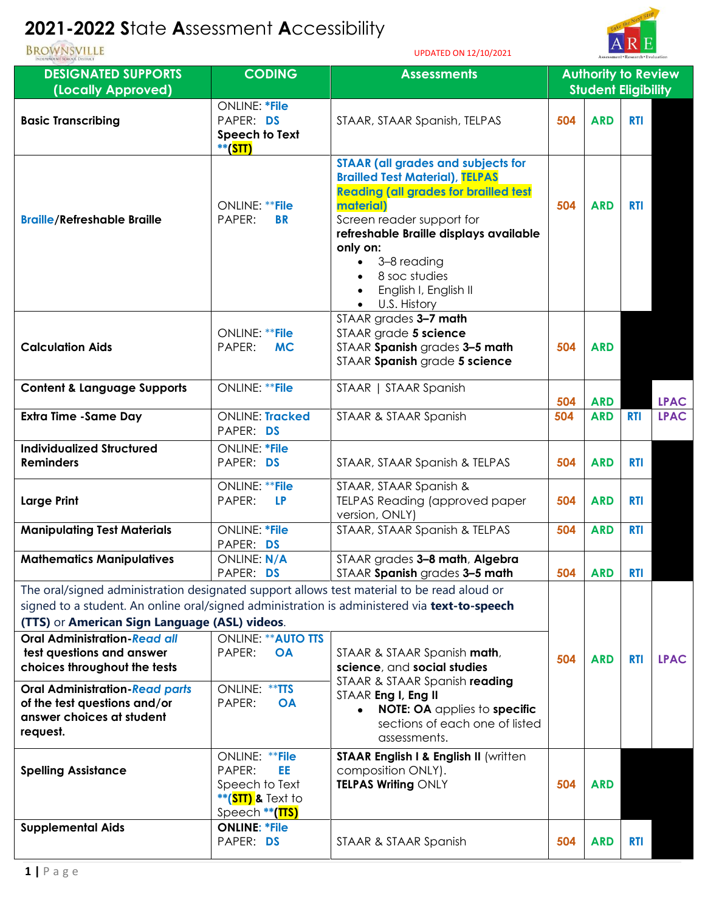## **2021-2022 S**tate **A**ssessment **A**ccessibility

UPDATED ON 12/10/2021



| INDEPENDENT SCHOOL DISTRICT                                                                                                                                                                                                                                                                                      |                                                                                                       | 01 DATED ON 12/10/2021                                                                                                                                                                                                                                                                                                    |                            |                            | Assessment * Research * Evaluation |             |  |  |
|------------------------------------------------------------------------------------------------------------------------------------------------------------------------------------------------------------------------------------------------------------------------------------------------------------------|-------------------------------------------------------------------------------------------------------|---------------------------------------------------------------------------------------------------------------------------------------------------------------------------------------------------------------------------------------------------------------------------------------------------------------------------|----------------------------|----------------------------|------------------------------------|-------------|--|--|
| <b>DESIGNATED SUPPORTS</b>                                                                                                                                                                                                                                                                                       | <b>CODING</b>                                                                                         | <b>Assessments</b>                                                                                                                                                                                                                                                                                                        | <b>Authority to Review</b> |                            |                                    |             |  |  |
| (Locally Approved)                                                                                                                                                                                                                                                                                               |                                                                                                       |                                                                                                                                                                                                                                                                                                                           |                            | <b>Student Eligibility</b> |                                    |             |  |  |
| <b>Basic Transcribing</b>                                                                                                                                                                                                                                                                                        | <b>ONLINE: *File</b><br>PAPER: DS<br>Speech to Text<br>**(STT)                                        | STAAR, STAAR Spanish, TELPAS                                                                                                                                                                                                                                                                                              | 504                        | <b>ARD</b>                 | <b>RTI</b>                         |             |  |  |
| <b>Braille/Refreshable Braille</b>                                                                                                                                                                                                                                                                               | ONLINE: ** File<br>PAPER:<br><b>BR</b>                                                                | <b>STAAR (all grades and subjects for</b><br><b>Brailled Test Material), TELPAS</b><br><b>Reading (all grades for brailled test</b><br>material)<br>Screen reader support for<br>refreshable Braille displays available<br>only on:<br>3-8 reading<br>8 soc studies<br>English I, English II<br>U.S. History<br>$\bullet$ | 504                        | <b>ARD</b>                 | <b>RTI</b>                         |             |  |  |
| <b>Calculation Aids</b>                                                                                                                                                                                                                                                                                          | <b>ONLINE: **File</b><br>PAPER:<br><b>MC</b>                                                          | STAAR grades 3-7 math<br>STAAR grade 5 science<br>STAAR Spanish grades 3-5 math<br>STAAR Spanish grade 5 science                                                                                                                                                                                                          | 504                        | <b>ARD</b>                 |                                    |             |  |  |
| <b>Content &amp; Language Supports</b>                                                                                                                                                                                                                                                                           | <b>ONLINE: **File</b>                                                                                 | STAAR   STAAR Spanish                                                                                                                                                                                                                                                                                                     | 504                        | <b>ARD</b>                 |                                    | <b>LPAC</b> |  |  |
| <b>Extra Time -Same Day</b>                                                                                                                                                                                                                                                                                      | <b>ONLINE: Tracked</b><br>PAPER: DS                                                                   | STAAR & STAAR Spanish                                                                                                                                                                                                                                                                                                     | 504                        | <b>ARD</b>                 | <b>RTI</b>                         | <b>LPAC</b> |  |  |
| <b>Individualized Structured</b>                                                                                                                                                                                                                                                                                 | <b>ONLINE: *File</b>                                                                                  |                                                                                                                                                                                                                                                                                                                           |                            |                            |                                    |             |  |  |
| <b>Reminders</b>                                                                                                                                                                                                                                                                                                 | PAPER: DS                                                                                             | STAAR, STAAR Spanish & TELPAS                                                                                                                                                                                                                                                                                             | 504                        | <b>ARD</b>                 | <b>RTI</b>                         |             |  |  |
| <b>Large Print</b>                                                                                                                                                                                                                                                                                               | ONLINE: ** File<br>PAPER:<br><b>LP</b>                                                                | STAAR, STAAR Spanish &<br>TELPAS Reading (approved paper<br>version, ONLY)                                                                                                                                                                                                                                                | 504                        | <b>ARD</b>                 | <b>RTI</b>                         |             |  |  |
| <b>Manipulating Test Materials</b>                                                                                                                                                                                                                                                                               | <b>ONLINE: *File</b><br>PAPER: DS                                                                     | STAAR, STAAR Spanish & TELPAS                                                                                                                                                                                                                                                                                             | 504                        | <b>ARD</b>                 | <b>RTI</b>                         |             |  |  |
| <b>Mathematics Manipulatives</b>                                                                                                                                                                                                                                                                                 | ONLINE: N/A<br>PAPER: DS                                                                              | STAAR grades 3-8 math, Algebra<br>STAAR Spanish grades 3-5 math                                                                                                                                                                                                                                                           | 504                        | <b>ARD</b>                 | <b>RTI</b>                         |             |  |  |
| The oral/signed administration designated support allows test material to be read aloud or<br>signed to a student. An online oral/signed administration is administered via text-to-speech<br>(TTS) or American Sign Language (ASL) videos.<br><b>Oral Administration-Read all</b><br><b>ONLINE: ** AUTO TTS</b> |                                                                                                       |                                                                                                                                                                                                                                                                                                                           |                            |                            |                                    |             |  |  |
| test questions and answer<br>choices throughout the tests                                                                                                                                                                                                                                                        | PAPER:<br><b>OA</b>                                                                                   | STAAR & STAAR Spanish math,<br>science, and social studies<br>STAAR & STAAR Spanish reading                                                                                                                                                                                                                               | 504                        | <b>ARD</b>                 | <b>RTI</b>                         | <b>LPAC</b> |  |  |
| <b>Oral Administration-Read parts</b><br>of the test questions and/or<br>answer choices at student<br>request.                                                                                                                                                                                                   | ONLINE: ** TTS<br>PAPER:<br><b>OA</b>                                                                 | STAAR Eng I, Eng II<br>NOTE: OA applies to specific<br>$\bullet$<br>sections of each one of listed<br>assessments.                                                                                                                                                                                                        |                            |                            |                                    |             |  |  |
| <b>Spelling Assistance</b>                                                                                                                                                                                                                                                                                       | ONLINE: ** File<br>EE.<br>PAPER:<br>Speech to Text<br>**( <b>STT) &amp;</b> Text to<br>Speech **(TTS) | STAAR English I & English II (written<br>composition ONLY).<br>TELPAS Writing ONLY                                                                                                                                                                                                                                        | 504                        | <b>ARD</b>                 |                                    |             |  |  |
| <b>Supplemental Aids</b>                                                                                                                                                                                                                                                                                         | <b>ONLINE: *File</b><br>PAPER: DS                                                                     | STAAR & STAAR Spanish                                                                                                                                                                                                                                                                                                     | 504                        | <b>ARD</b>                 | <b>RTI</b>                         |             |  |  |